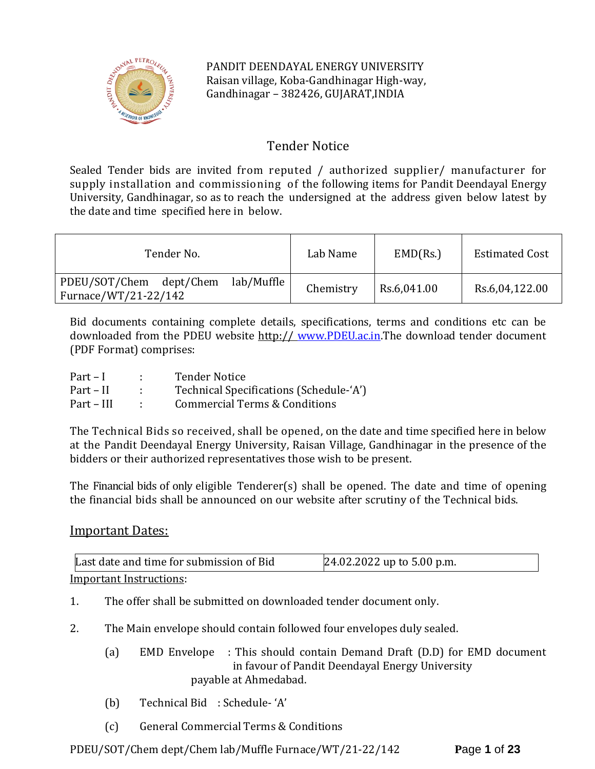

PANDIT DEENDAYAL ENERGY UNIVERSITY Raisan village, Koba-Gandhinagar High-way, Gandhinagar – 382426, GUJARAT,INDIA

# Tender Notice

Sealed Tender bids are invited from reputed / authorized supplier/ manufacturer for supply installation and commissioning of the following items for Pandit Deendayal Energy University, Gandhinagar, so as to reach the undersigned at the address given below latest by the date and time specified here in below.

| Tender No.                                                    | Lab Name  | EMD(Rs.)    | <b>Estimated Cost</b> |
|---------------------------------------------------------------|-----------|-------------|-----------------------|
| lab/Muffle<br>PDEU/SOT/Chem dept/Chem<br>Furnace/WT/21-22/142 | Chemistry | Rs.6,041.00 | Rs.6,04,122.00        |

Bid documents containing complete details, specifications, terms and conditions etc can be downloaded from the PDEU website http:// [www.PDEU.ac.in.](http://www.pdpu.ac.in/)The download tender document (PDF Format) comprises:

| $Part-I$   | <b>Tender Notice</b>                    |
|------------|-----------------------------------------|
| Part – II  | Technical Specifications (Schedule-'A') |
| Part – III | Commercial Terms & Conditions           |

The Technical Bids so received, shall be opened, on the date and time specified here in below at the Pandit Deendayal Energy University, Raisan Village, Gandhinagar in the presence of the bidders or their authorized representatives those wish to be present.

The Financial bids of only eligible Tenderer(s) shall be opened. The date and time of opening the financial bids shall be announced on our website after scrutiny of the Technical bids.

# Important Dates:

| Last date and time for submission of Bid | 24.02.2022 up to 5.00 p.m. |
|------------------------------------------|----------------------------|
| Important Instructions:                  |                            |

Important Instructions:

- 1. The offer shall be submitted on downloaded tender document only.
- 2. The Main envelope should contain followed four envelopes duly sealed.
	- (a) EMD Envelope : This should contain Demand Draft (D.D) for EMD document in favour of Pandit Deendayal Energy University payable at Ahmedabad.
	- (b) Technical Bid : Schedule- 'A'
	- (c) General Commercial Terms & Conditions

PDEU/SOT/Chem dept/Chem lab/Muffle Furnace/WT/21-22/142 **P**age **1** of **23**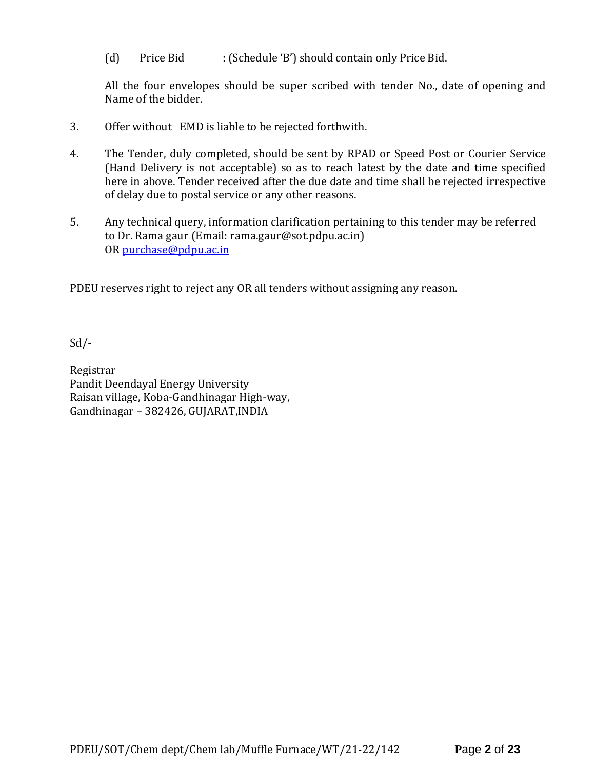(d) Price Bid : (Schedule 'B') should contain only Price Bid.

All the four envelopes should be super scribed with tender No., date of opening and Name of the bidder.

- 3. Offer without EMD is liable to be rejected forthwith.
- 4. The Tender, duly completed, should be sent by RPAD or Speed Post or Courier Service (Hand Delivery is not acceptable) so as to reach latest by the date and time specified here in above. Tender received after the due date and time shall be rejected irrespective of delay due to postal service or any other reasons.
- 5. Any technical query, information clarification pertaining to this tender may be referred to Dr. Rama gaur (Email: rama.gaur@sot.pdpu.ac.in) OR [purchase@pdpu.ac.in](mailto:purchase@pdpu.ac.in)

PDEU reserves right to reject any OR all tenders without assigning any reason.

Sd/-

Registrar Pandit Deendayal Energy University Raisan village, Koba-Gandhinagar High-way, Gandhinagar – 382426, GUJARAT,INDIA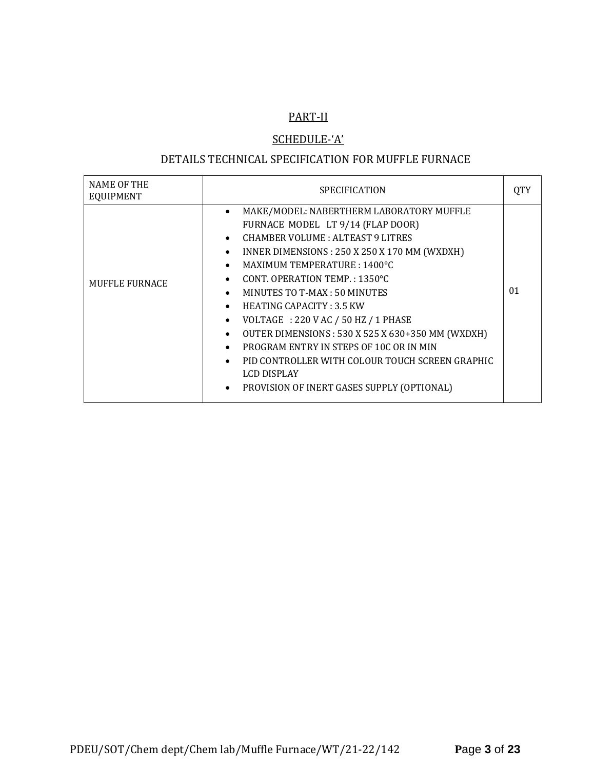# PART-II

# SCHEDULE-'A'

# DETAILS TECHNICAL SPECIFICATION FOR MUFFLE FURNACE

| <b>NAME OF THE</b><br><b>EQUIPMENT</b> | <b>SPECIFICATION</b>                                                                                                                                                                                                                                                                                                                                                                                                                                                                                                                                                                                                                                                                                                   |    |
|----------------------------------------|------------------------------------------------------------------------------------------------------------------------------------------------------------------------------------------------------------------------------------------------------------------------------------------------------------------------------------------------------------------------------------------------------------------------------------------------------------------------------------------------------------------------------------------------------------------------------------------------------------------------------------------------------------------------------------------------------------------------|----|
| MUFFLE FURNACE                         | MAKE/MODEL: NABERTHERM LABORATORY MUFFLE<br>٠<br>FURNACE MODEL LT 9/14 (FLAP DOOR)<br>CHAMBER VOLUME: ALTEAST 9 LITRES<br>$\bullet$<br>INNER DIMENSIONS: 250 X 250 X 170 MM (WXDXH)<br>$\bullet$<br>MAXIMUM TEMPERATURE: 1400°C<br>$\bullet$<br>CONT. OPERATION TEMP.: 1350°C<br>$\bullet$<br>MINUTES TO T-MAX: 50 MINUTES<br>$\bullet$<br><b>HEATING CAPACITY: 3.5 KW</b><br>$\bullet$<br>VOLTAGE : 220 V AC / 50 HZ / 1 PHASE<br>$\bullet$<br>OUTER DIMENSIONS: 530 X 525 X 630+350 MM (WXDXH)<br>$\bullet$<br>PROGRAM ENTRY IN STEPS OF 10C OR IN MIN<br>$\bullet$<br>PID CONTROLLER WITH COLOUR TOUCH SCREEN GRAPHIC<br>$\bullet$<br><b>LCD DISPLAY</b><br>PROVISION OF INERT GASES SUPPLY (OPTIONAL)<br>$\bullet$ | 01 |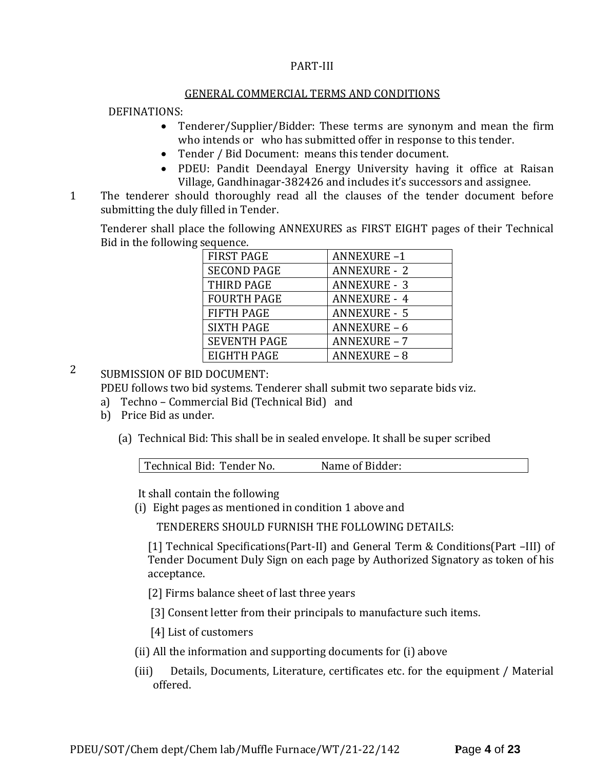#### PART-III

#### GENERAL COMMERCIAL TERMS AND CONDITIONS

#### DEFINATIONS:

- Tenderer/Supplier/Bidder: These terms are synonym and mean the firm who intends or who has submitted offer in response to this tender.
- Tender / Bid Document: means this tender document.
- PDEU: Pandit Deendayal Energy University having it office at Raisan Village, Gandhinagar-382426 and includes it's successors and assignee.
- 11. The tenderer should thoroughly read all the clauses of the tender document before submitting the duly filled in Tender.

Tenderer shall place the following ANNEXURES as FIRST EIGHT pages of their Technical Bid in the following sequence.

| <b>FIRST PAGE</b>   | <b>ANNEXURE-1</b>   |
|---------------------|---------------------|
| <b>SECOND PAGE</b>  | <b>ANNEXURE - 2</b> |
| THIRD PAGE          | <b>ANNEXURE - 3</b> |
| <b>FOURTH PAGE</b>  | <b>ANNEXURE - 4</b> |
| <b>FIFTH PAGE</b>   | <b>ANNEXURE - 5</b> |
| <b>SIXTH PAGE</b>   | <b>ANNEXURE - 6</b> |
| <b>SEVENTH PAGE</b> | <b>ANNEXURE - 7</b> |
| EIGHTH PAGE         | <b>ANNEXURE - 8</b> |

2 SUBMISSION OF BID DOCUMENT:

PDEU follows two bid systems. Tenderer shall submit two separate bids viz.

- a) Techno Commercial Bid (Technical Bid) and
- b) Price Bid as under.
	- (a) Technical Bid: This shall be in sealed envelope. It shall be super scribed

| Technical Bid: Tender No. | Name of Bidder: |  |
|---------------------------|-----------------|--|
|                           |                 |  |

It shall contain the following

(i) Eight pages as mentioned in condition 1 above and

TENDERERS SHOULD FURNISH THE FOLLOWING DETAILS:

[1] Technical Specifications(Part-II) and General Term & Conditions(Part –III) of Tender Document Duly Sign on each page by Authorized Signatory as token of his acceptance.

[2] Firms balance sheet of last three years

[3] Consent letter from their principals to manufacture such items.

[4] List of customers

- (ii) All the information and supporting documents for (i) above
- (iii) Details, Documents, Literature, certificates etc. for the equipment / Material offered.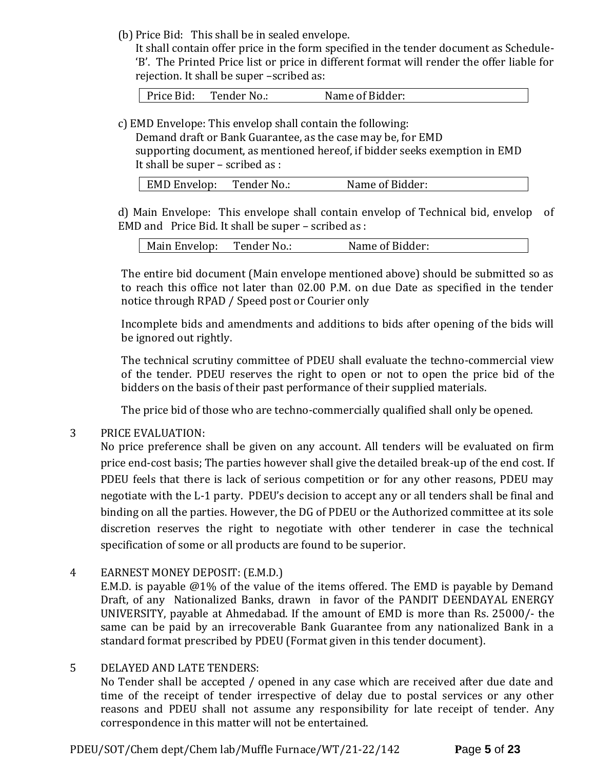(b) Price Bid: This shall be in sealed envelope.

It shall contain offer price in the form specified in the tender document as Schedule- 'B'. The Printed Price list or price in different format will render the offer liable for rejection. It shall be super –scribed as:

Price Bid: Tender No.: Name of Bidder:

c) EMD Envelope: This envelop shall contain the following:

Demand draft or Bank Guarantee, as the case may be, for EMD supporting document, as mentioned hereof, if bidder seeks exemption in EMD It shall be super – scribed as :

| EMD Envelop: | Tender No.: | Name of Bidder: |
|--------------|-------------|-----------------|
|              |             |                 |

d) Main Envelope: This envelope shall contain envelop of Technical bid, envelop of EMD and Price Bid. It shall be super – scribed as :

| Main Envelop: | Tender No.: | Name of Bidder: |
|---------------|-------------|-----------------|
|---------------|-------------|-----------------|

The entire bid document (Main envelope mentioned above) should be submitted so as to reach this office not later than 02.00 P.M. on due Date as specified in the tender notice through RPAD / Speed post or Courier only

Incomplete bids and amendments and additions to bids after opening of the bids will be ignored out rightly.

The technical scrutiny committee of PDEU shall evaluate the techno-commercial view of the tender. PDEU reserves the right to open or not to open the price bid of the bidders on the basis of their past performance of their supplied materials.

The price bid of those who are techno-commercially qualified shall only be opened.

# 3 PRICE EVALUATION:

No price preference shall be given on any account. All tenders will be evaluated on firm price end-cost basis; The parties however shall give the detailed break-up of the end cost. If PDEU feels that there is lack of serious competition or for any other reasons, PDEU may negotiate with the L-1 party. PDEU's decision to accept any or all tenders shall be final and binding on all the parties. However, the DG of PDEU or the Authorized committee at its sole discretion reserves the right to negotiate with other tenderer in case the technical specification of some or all products are found to be superior.

4 EARNEST MONEY DEPOSIT: (E.M.D.)

E.M.D. is payable @1% of the value of the items offered. The EMD is payable by Demand Draft, of any Nationalized Banks, drawn in favor of the PANDIT DEENDAYAL ENERGY UNIVERSITY, payable at Ahmedabad. If the amount of EMD is more than Rs. 25000/- the same can be paid by an irrecoverable Bank Guarantee from any nationalized Bank in a standard format prescribed by PDEU (Format given in this tender document).

# 5 DELAYED AND LATE TENDERS:

No Tender shall be accepted / opened in any case which are received after due date and time of the receipt of tender irrespective of delay due to postal services or any other reasons and PDEU shall not assume any responsibility for late receipt of tender. Any correspondence in this matter will not be entertained.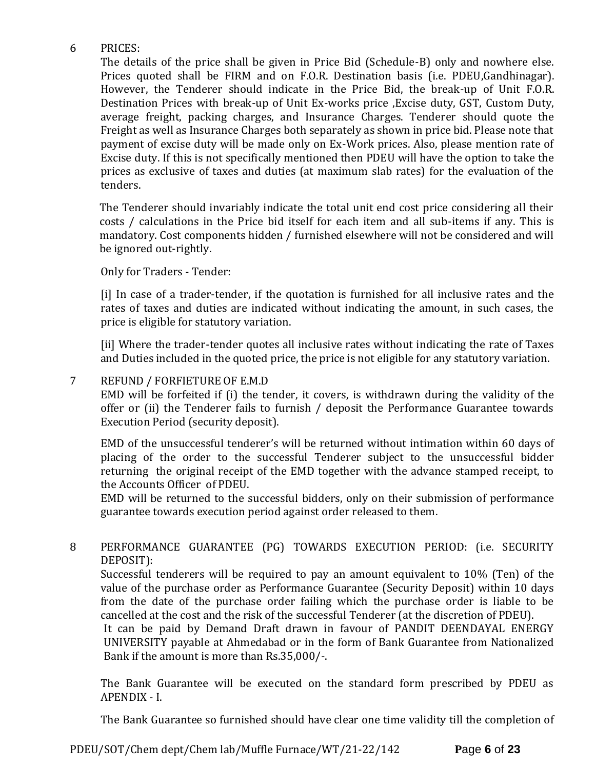# 6 PRICES:

The details of the price shall be given in Price Bid (Schedule-B) only and nowhere else. Prices quoted shall be FIRM and on F.O.R. Destination basis (i.e. PDEU,Gandhinagar). However, the Tenderer should indicate in the Price Bid, the break-up of Unit F.O.R. Destination Prices with break-up of Unit Ex-works price ,Excise duty, GST, Custom Duty, average freight, packing charges, and Insurance Charges. Tenderer should quote the Freight as well as Insurance Charges both separately as shown in price bid. Please note that payment of excise duty will be made only on Ex-Work prices. Also, please mention rate of Excise duty. If this is not specifically mentioned then PDEU will have the option to take the prices as exclusive of taxes and duties (at maximum slab rates) for the evaluation of the tenders.

The Tenderer should invariably indicate the total unit end cost price considering all their costs / calculations in the Price bid itself for each item and all sub-items if any. This is mandatory. Cost components hidden / furnished elsewhere will not be considered and will be ignored out-rightly.

Only for Traders - Tender:

[i] In case of a trader-tender, if the quotation is furnished for all inclusive rates and the rates of taxes and duties are indicated without indicating the amount, in such cases, the price is eligible for statutory variation.

[ii] Where the trader-tender quotes all inclusive rates without indicating the rate of Taxes and Duties included in the quoted price, the price is not eligible for any statutory variation.

### 7 REFUND / FORFIETURE OF E.M.D

EMD will be forfeited if (i) the tender, it covers, is withdrawn during the validity of the offer or (ii) the Tenderer fails to furnish / deposit the Performance Guarantee towards Execution Period (security deposit).

EMD of the unsuccessful tenderer's will be returned without intimation within 60 days of placing of the order to the successful Tenderer subject to the unsuccessful bidder returning the original receipt of the EMD together with the advance stamped receipt, to the Accounts Officer of PDEU.

EMD will be returned to the successful bidders, only on their submission of performance guarantee towards execution period against order released to them.

# 8 PERFORMANCE GUARANTEE (PG) TOWARDS EXECUTION PERIOD: (i.e. SECURITY DEPOSIT):

Successful tenderers will be required to pay an amount equivalent to 10% (Ten) of the value of the purchase order as Performance Guarantee (Security Deposit) within 10 days from the date of the purchase order failing which the purchase order is liable to be cancelled at the cost and the risk of the successful Tenderer (at the discretion of PDEU).

It can be paid by Demand Draft drawn in favour of PANDIT DEENDAYAL ENERGY UNIVERSITY payable at Ahmedabad or in the form of Bank Guarantee from Nationalized Bank if the amount is more than Rs.35,000/-.

The Bank Guarantee will be executed on the standard form prescribed by PDEU as APENDIX - I.

The Bank Guarantee so furnished should have clear one time validity till the completion of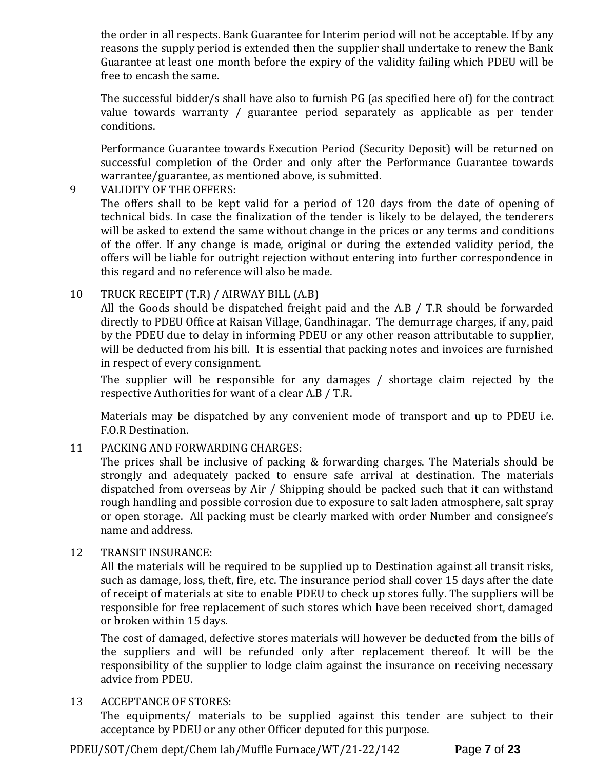the order in all respects. Bank Guarantee for Interim period will not be acceptable. If by any reasons the supply period is extended then the supplier shall undertake to renew the Bank Guarantee at least one month before the expiry of the validity failing which PDEU will be free to encash the same.

The successful bidder/s shall have also to furnish PG (as specified here of) for the contract value towards warranty / guarantee period separately as applicable as per tender conditions.

Performance Guarantee towards Execution Period (Security Deposit) will be returned on successful completion of the Order and only after the Performance Guarantee towards warrantee/guarantee, as mentioned above, is submitted.

# 9 VALIDITY OF THE OFFERS:

The offers shall to be kept valid for a period of 120 days from the date of opening of technical bids. In case the finalization of the tender is likely to be delayed, the tenderers will be asked to extend the same without change in the prices or any terms and conditions of the offer. If any change is made, original or during the extended validity period, the offers will be liable for outright rejection without entering into further correspondence in this regard and no reference will also be made.

# 10 TRUCK RECEIPT (T.R) / AIRWAY BILL (A.B)

All the Goods should be dispatched freight paid and the A.B / T.R should be forwarded directly to PDEU Office at Raisan Village, Gandhinagar. The demurrage charges, if any, paid by the PDEU due to delay in informing PDEU or any other reason attributable to supplier, will be deducted from his bill. It is essential that packing notes and invoices are furnished in respect of every consignment.

The supplier will be responsible for any damages / shortage claim rejected by the respective Authorities for want of a clear A.B / T.R.

Materials may be dispatched by any convenient mode of transport and up to PDEU i.e. F.O.R Destination.

# 11 PACKING AND FORWARDING CHARGES:

The prices shall be inclusive of packing & forwarding charges. The Materials should be strongly and adequately packed to ensure safe arrival at destination. The materials dispatched from overseas by Air / Shipping should be packed such that it can withstand rough handling and possible corrosion due to exposure to salt laden atmosphere, salt spray or open storage. All packing must be clearly marked with order Number and consignee's name and address.

### 12 TRANSIT INSURANCE:

All the materials will be required to be supplied up to Destination against all transit risks, such as damage, loss, theft, fire, etc. The insurance period shall cover 15 days after the date of receipt of materials at site to enable PDEU to check up stores fully. The suppliers will be responsible for free replacement of such stores which have been received short, damaged or broken within 15 days.

The cost of damaged, defective stores materials will however be deducted from the bills of the suppliers and will be refunded only after replacement thereof. It will be the responsibility of the supplier to lodge claim against the insurance on receiving necessary advice from PDEU.

# 13 ACCEPTANCE OF STORES:

The equipments/ materials to be supplied against this tender are subject to their acceptance by PDEU or any other Officer deputed for this purpose.

PDEU/SOT/Chem dept/Chem lab/Muffle Furnace/WT/21-22/142 **P**age **7** of **23**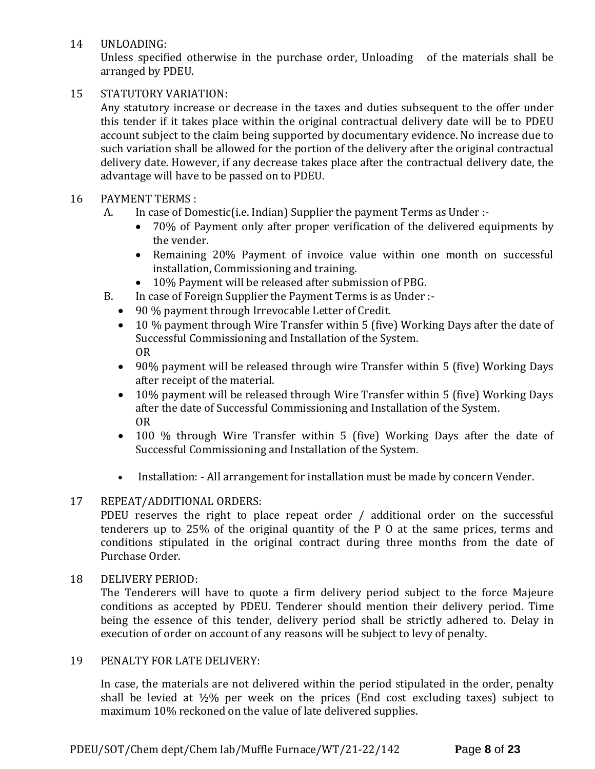14 UNLOADING:

Unless specified otherwise in the purchase order, Unloading of the materials shall be arranged by PDEU.

# 15 STATUTORY VARIATION:

Any statutory increase or decrease in the taxes and duties subsequent to the offer under this tender if it takes place within the original contractual delivery date will be to PDEU account subject to the claim being supported by documentary evidence. No increase due to such variation shall be allowed for the portion of the delivery after the original contractual delivery date. However, if any decrease takes place after the contractual delivery date, the advantage will have to be passed on to PDEU.

# 16 PAYMENT TERMS :

- A. In case of Domestic(i.e. Indian) Supplier the payment Terms as Under :-
	- 70% of Payment only after proper verification of the delivered equipments by the vender.
	- Remaining 20% Payment of invoice value within one month on successful installation, Commissioning and training.
	- 10% Payment will be released after submission of PBG.
- B. In case of Foreign Supplier the Payment Terms is as Under :-
	- 90 % payment through Irrevocable Letter of Credit.
	- 10 % payment through Wire Transfer within 5 (five) Working Days after the date of Successful Commissioning and Installation of the System. OR
	- 90% payment will be released through wire Transfer within 5 (five) Working Days after receipt of the material.
	- 10% payment will be released through Wire Transfer within 5 (five) Working Days after the date of Successful Commissioning and Installation of the System. OR
	- 100 % through Wire Transfer within 5 (five) Working Days after the date of Successful Commissioning and Installation of the System.
	- Installation: All arrangement for installation must be made by concern Vender.

### 17 REPEAT/ADDITIONAL ORDERS:

PDEU reserves the right to place repeat order / additional order on the successful tenderers up to 25% of the original quantity of the P O at the same prices, terms and conditions stipulated in the original contract during three months from the date of Purchase Order.

### 18 DELIVERY PERIOD:

The Tenderers will have to quote a firm delivery period subject to the force Majeure conditions as accepted by PDEU. Tenderer should mention their delivery period. Time being the essence of this tender, delivery period shall be strictly adhered to. Delay in execution of order on account of any reasons will be subject to levy of penalty.

### 19 PENALTY FOR LATE DELIVERY:

In case, the materials are not delivered within the period stipulated in the order, penalty shall be levied at  $\frac{1}{2}\%$  per week on the prices (End cost excluding taxes) subject to maximum 10% reckoned on the value of late delivered supplies.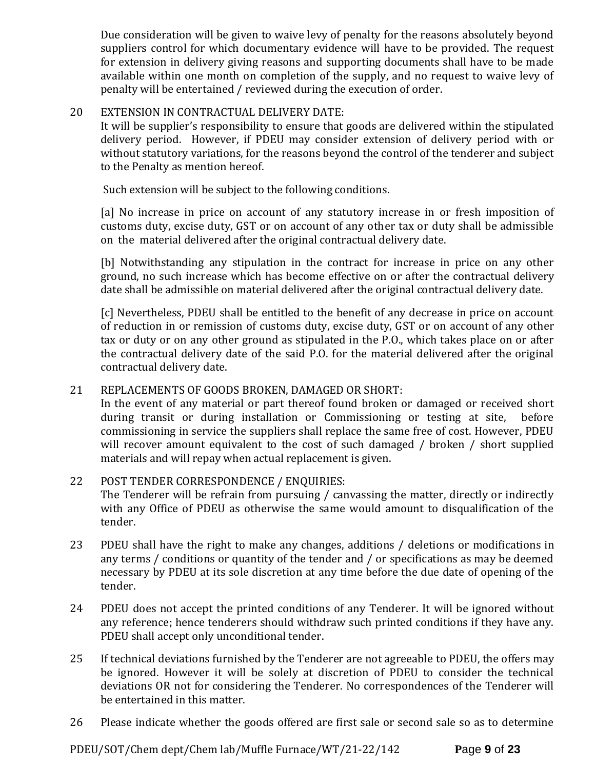Due consideration will be given to waive levy of penalty for the reasons absolutely beyond suppliers control for which documentary evidence will have to be provided. The request for extension in delivery giving reasons and supporting documents shall have to be made available within one month on completion of the supply, and no request to waive levy of penalty will be entertained / reviewed during the execution of order.

### 20 EXTENSION IN CONTRACTUAL DELIVERY DATE:

It will be supplier's responsibility to ensure that goods are delivered within the stipulated delivery period. However, if PDEU may consider extension of delivery period with or without statutory variations, for the reasons beyond the control of the tenderer and subject to the Penalty as mention hereof.

Such extension will be subject to the following conditions.

[a] No increase in price on account of any statutory increase in or fresh imposition of customs duty, excise duty, GST or on account of any other tax or duty shall be admissible on the material delivered after the original contractual delivery date.

[b] Notwithstanding any stipulation in the contract for increase in price on any other ground, no such increase which has become effective on or after the contractual delivery date shall be admissible on material delivered after the original contractual delivery date.

[c] Nevertheless, PDEU shall be entitled to the benefit of any decrease in price on account of reduction in or remission of customs duty, excise duty, GST or on account of any other tax or duty or on any other ground as stipulated in the P.O., which takes place on or after the contractual delivery date of the said P.O. for the material delivered after the original contractual delivery date.

# 21 REPLACEMENTS OF GOODS BROKEN, DAMAGED OR SHORT:

In the event of any material or part thereof found broken or damaged or received short during transit or during installation or Commissioning or testing at site, before commissioning in service the suppliers shall replace the same free of cost. However, PDEU will recover amount equivalent to the cost of such damaged / broken / short supplied materials and will repay when actual replacement is given.

# 22 POST TENDER CORRESPONDENCE / ENQUIRIES:

The Tenderer will be refrain from pursuing / canvassing the matter, directly or indirectly with any Office of PDEU as otherwise the same would amount to disqualification of the tender.

- 23 PDEU shall have the right to make any changes, additions / deletions or modifications in any terms / conditions or quantity of the tender and / or specifications as may be deemed necessary by PDEU at its sole discretion at any time before the due date of opening of the tender.
- 24 PDEU does not accept the printed conditions of any Tenderer. It will be ignored without any reference; hence tenderers should withdraw such printed conditions if they have any. PDEU shall accept only unconditional tender.
- 25 If technical deviations furnished by the Tenderer are not agreeable to PDEU, the offers may be ignored. However it will be solely at discretion of PDEU to consider the technical deviations OR not for considering the Tenderer. No correspondences of the Tenderer will be entertained in this matter.
- 26 Please indicate whether the goods offered are first sale or second sale so as to determine

PDEU/SOT/Chem dept/Chem lab/Muffle Furnace/WT/21-22/142 **P**age **9** of **23**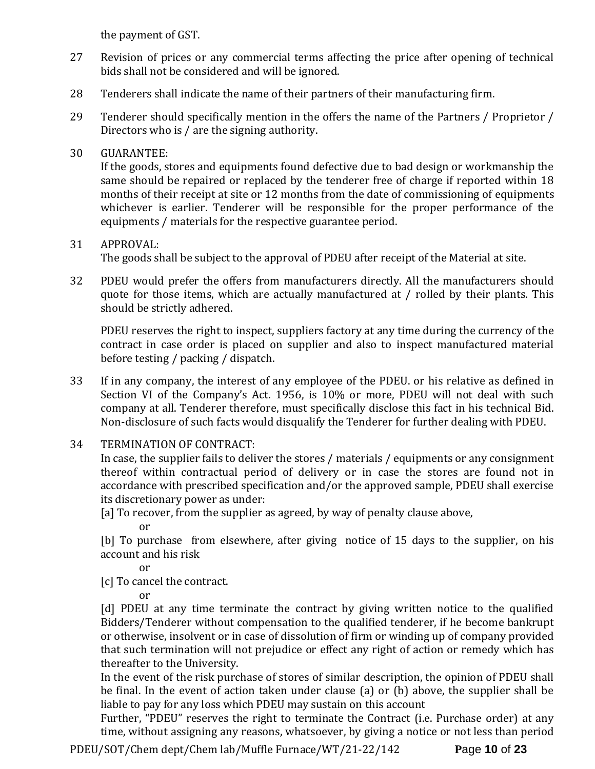the payment of GST.

- 27 Revision of prices or any commercial terms affecting the price after opening of technical bids shall not be considered and will be ignored.
- 28 Tenderers shall indicate the name of their partners of their manufacturing firm.
- 29 Tenderer should specifically mention in the offers the name of the Partners / Proprietor / Directors who is / are the signing authority.

# 30 GUARANTEE:

If the goods, stores and equipments found defective due to bad design or workmanship the same should be repaired or replaced by the tenderer free of charge if reported within 18 months of their receipt at site or 12 months from the date of commissioning of equipments whichever is earlier. Tenderer will be responsible for the proper performance of the equipments / materials for the respective guarantee period.

# 31 APPROVAL:

The goods shall be subject to the approval of PDEU after receipt of the Material at site.

32 PDEU would prefer the offers from manufacturers directly. All the manufacturers should quote for those items, which are actually manufactured at / rolled by their plants. This should be strictly adhered.

PDEU reserves the right to inspect, suppliers factory at any time during the currency of the contract in case order is placed on supplier and also to inspect manufactured material before testing / packing / dispatch.

- 33 If in any company, the interest of any employee of the PDEU. or his relative as defined in Section VI of the Company's Act. 1956, is 10% or more, PDEU will not deal with such company at all. Tenderer therefore, must specifically disclose this fact in his technical Bid. Non-disclosure of such facts would disqualify the Tenderer for further dealing with PDEU.
- 34 TERMINATION OF CONTRACT:

In case, the supplier fails to deliver the stores / materials / equipments or any consignment thereof within contractual period of delivery or in case the stores are found not in accordance with prescribed specification and/or the approved sample, PDEU shall exercise its discretionary power as under:

[a] To recover, from the supplier as agreed, by way of penalty clause above,

or

[b] To purchase from elsewhere, after giving notice of 15 days to the supplier, on his account and his risk

or

[c] To cancel the contract.

or

[d] PDEU at any time terminate the contract by giving written notice to the qualified Bidders/Tenderer without compensation to the qualified tenderer, if he become bankrupt or otherwise, insolvent or in case of dissolution of firm or winding up of company provided that such termination will not prejudice or effect any right of action or remedy which has thereafter to the University.

In the event of the risk purchase of stores of similar description, the opinion of PDEU shall be final. In the event of action taken under clause (a) or (b) above, the supplier shall be liable to pay for any loss which PDEU may sustain on this account

Further, "PDEU" reserves the right to terminate the Contract (i.e. Purchase order) at any time, without assigning any reasons, whatsoever, by giving a notice or not less than period

PDEU/SOT/Chem dept/Chem lab/Muffle Furnace/WT/21-22/142 **P**age **10** of **23**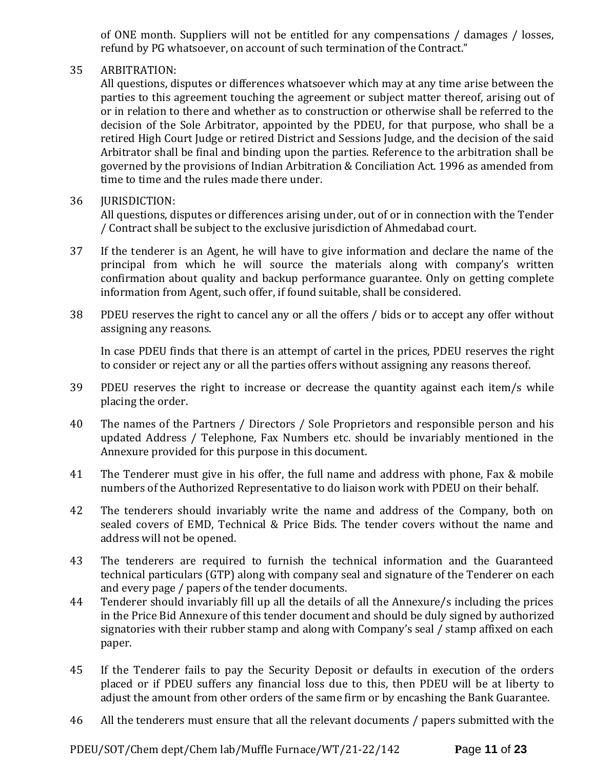of ONE month. Suppliers will not be entitled for any compensations / damages / losses, refund by PG whatsoever, on account of such termination of the Contract."

# 35 ARBITRATION:

All questions, disputes or differences whatsoever which may at any time arise between the parties to this agreement touching the agreement or subject matter thereof, arising out of or in relation to there and whether as to construction or otherwise shall be referred to the decision of the Sole Arbitrator, appointed by the PDEU, for that purpose, who shall be a retired High Court Judge or retired District and Sessions Judge, and the decision of the said Arbitrator shall be final and binding upon the parties. Reference to the arbitration shall be governed by the provisions of Indian Arbitration & Conciliation Act. 1996 as amended from time to time and the rules made there under.

### 36 JURISDICTION:

All questions, disputes or differences arising under, out of or in connection with the Tender / Contract shall be subject to the exclusive jurisdiction of Ahmedabad court.

- 37 If the tenderer is an Agent, he will have to give information and declare the name of the principal from which he will source the materials along with company's written confirmation about quality and backup performance guarantee. Only on getting complete information from Agent, such offer, if found suitable, shall be considered.
- 38 PDEU reserves the right to cancel any or all the offers / bids or to accept any offer without assigning any reasons.

In case PDEU finds that there is an attempt of cartel in the prices, PDEU reserves the right to consider or reject any or all the parties offers without assigning any reasons thereof.

- 39 PDEU reserves the right to increase or decrease the quantity against each item/s while placing the order.
- 40 The names of the Partners / Directors / Sole Proprietors and responsible person and his updated Address / Telephone, Fax Numbers etc. should be invariably mentioned in the Annexure provided for this purpose in this document.
- 41 The Tenderer must give in his offer, the full name and address with phone, Fax & mobile numbers of the Authorized Representative to do liaison work with PDEU on their behalf.
- 42 The tenderers should invariably write the name and address of the Company, both on sealed covers of EMD, Technical & Price Bids. The tender covers without the name and address will not be opened.
- 43 The tenderers are required to furnish the technical information and the Guaranteed technical particulars (GTP) along with company seal and signature of the Tenderer on each and every page / papers of the tender documents.
- 44 Tenderer should invariably fill up all the details of all the Annexure/s including the prices in the Price Bid Annexure of this tender document and should be duly signed by authorized signatories with their rubber stamp and along with Company's seal / stamp affixed on each paper.
- 45 If the Tenderer fails to pay the Security Deposit or defaults in execution of the orders placed or if PDEU suffers any financial loss due to this, then PDEU will be at liberty to adjust the amount from other orders of the same firm or by encashing the Bank Guarantee.
- 46 All the tenderers must ensure that all the relevant documents / papers submitted with the

PDEU/SOT/Chem dept/Chem lab/Muffle Furnace/WT/21-22/142 **P**age **11** of **23**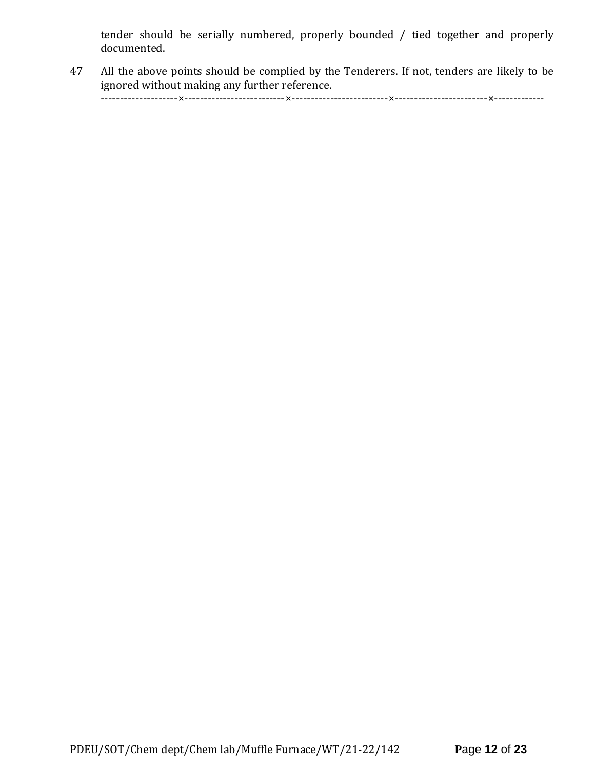tender should be serially numbered, properly bounded / tied together and properly documented.

47 All the above points should be complied by the Tenderers. If not, tenders are likely to be ignored without making any further reference.

--------------------×--------------------------×-------------------------×------------------------×-------------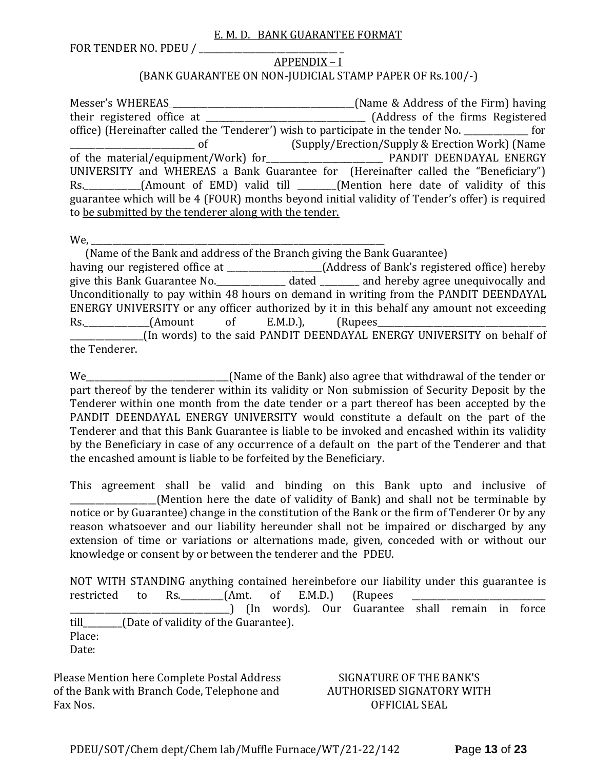#### E. M. D. BANK GUARANTEE FORMAT

FOR TENDER NO. PDEU / \_\_\_\_\_\_\_\_\_\_\_\_\_\_\_\_\_\_\_\_\_\_\_\_\_\_\_\_\_\_\_\_ \_

### APPENDIX – I (BANK GUARANTEE ON NON-JUDICIAL STAMP PAPER OF Rs.100/-)

Messer's WHEREAS \_\_\_\_\_\_\_\_\_\_\_\_\_\_\_\_\_\_\_\_\_\_\_\_\_\_\_\_\_\_\_\_\_\_\_\_\_\_\_\_\_\_(Name & Address of the Firm) having their registered office at \_\_\_\_\_\_\_\_\_\_\_\_\_\_\_\_\_\_\_\_\_\_\_\_\_\_\_\_\_\_\_\_\_\_\_\_\_ (Address of the firms Registered office) (Hereinafter called the 'Tenderer') wish to participate in the tender No. \_\_\_\_\_\_\_\_\_\_\_\_\_\_\_ for \_\_\_\_\_\_\_\_\_\_\_\_\_\_\_\_\_\_\_\_\_\_\_\_\_\_\_\_\_ of (Supply/Erection/Supply & Erection Work) (Name of the material/equipment/Work) for\_\_\_\_\_\_\_\_\_\_\_\_\_\_\_\_\_\_\_\_\_\_\_\_\_\_\_ PANDIT DEENDAYAL ENERGY UNIVERSITY and WHEREAS a Bank Guarantee for (Hereinafter called the "Beneficiary") Rs. \_\_\_\_\_\_\_\_\_\_(Amount of EMD) valid till \_\_\_\_\_\_(Mention here date of validity of this guarantee which will be 4 (FOUR) months beyond initial validity of Tender's offer) is required to be submitted by the tenderer along with the tender.

We,

 (Name of the Bank and address of the Branch giving the Bank Guarantee) having our registered office at \_\_\_\_\_\_\_\_\_\_\_\_\_\_\_\_\_\_\_\_\_\_(Address of Bank's registered office) hereby give this Bank Guarantee No.\_\_\_\_\_\_\_\_\_\_\_\_\_\_\_\_ dated \_\_\_\_\_\_\_\_\_ and hereby agree unequivocally and Unconditionally to pay within 48 hours on demand in writing from the PANDIT DEENDAYAL ENERGY UNIVERSITY or any officer authorized by it in this behalf any amount not exceeding Rs. (Amount of E.M.D.), (Rupees \_\_\_\_\_\_\_\_\_\_\_\_\_\_\_\_\_(In words) to the said PANDIT DEENDAYAL ENERGY UNIVERSITY on behalf of the Tenderer.

We\_\_\_\_\_\_\_\_\_\_\_\_\_\_\_\_\_\_\_\_\_\_\_\_\_\_\_\_\_\_\_\_\_(Name of the Bank) also agree that withdrawal of the tender or part thereof by the tenderer within its validity or Non submission of Security Deposit by the Tenderer within one month from the date tender or a part thereof has been accepted by the PANDIT DEENDAYAL ENERGY UNIVERSITY would constitute a default on the part of the Tenderer and that this Bank Guarantee is liable to be invoked and encashed within its validity by the Beneficiary in case of any occurrence of a default on the part of the Tenderer and that the encashed amount is liable to be forfeited by the Beneficiary.

This agreement shall be valid and binding on this Bank upto and inclusive of (Mention here the date of validity of Bank) and shall not be terminable by notice or by Guarantee) change in the constitution of the Bank or the firm of Tenderer Or by any reason whatsoever and our liability hereunder shall not be impaired or discharged by any extension of time or variations or alternations made, given, conceded with or without our knowledge or consent by or between the tenderer and the PDEU.

NOT WITH STANDING anything contained hereinbefore our liability under this guarantee is restricted to Rs.  $(Amt. of E.M.D.)$  (Rupees \_\_\_\_\_\_\_\_\_\_\_\_\_\_\_\_\_\_\_\_\_\_\_\_\_\_\_\_\_\_\_\_\_\_\_\_\_) (In words). Our Guarantee shall remain in force till\_\_\_\_\_\_\_\_\_(Date of validity of the Guarantee). Place: Date:

Please Mention here Complete Postal Address of the Bank with Branch Code, Telephone and Fax Nos.

### SIGNATURE OF THE BANK'S AUTHORISED SIGNATORY WITH OFFICIAL SEAL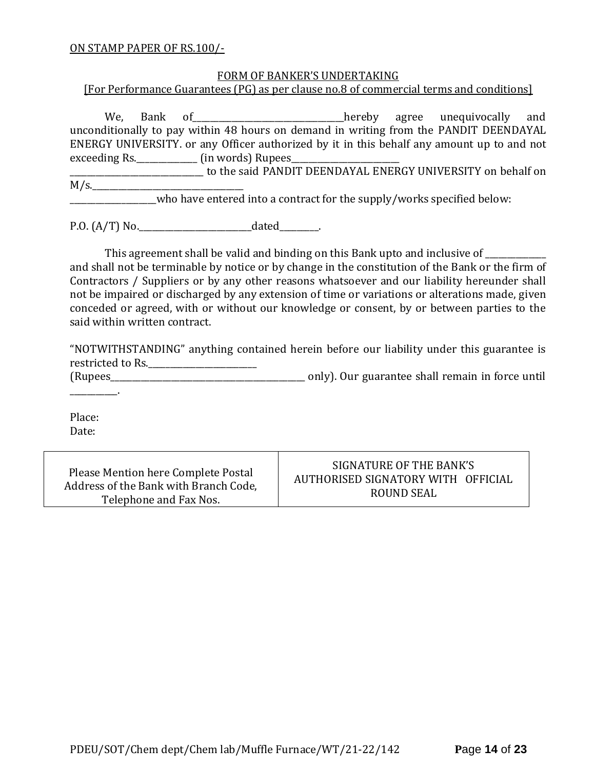#### ON STAMP PAPER OF RS.100/-

#### FORM OF BANKER'S UNDERTAKING

[For Performance Guarantees (PG) as per clause no.8 of commercial terms and conditions]

We, Bank of\_\_\_\_\_\_\_\_\_\_\_\_\_\_\_\_\_\_\_\_\_\_\_\_hereby agree unequivocally and unconditionally to pay within 48 hours on demand in writing from the PANDIT DEENDAYAL ENERGY UNIVERSITY. or any Officer authorized by it in this behalf any amount up to and not exceeding Rs.\_\_\_\_\_\_\_\_\_\_\_\_\_\_\_\_\_\_\_ (in words) Rupees\_

\_\_\_\_\_\_\_\_\_\_\_\_\_\_\_\_\_\_\_\_\_\_\_\_\_\_\_\_\_\_\_ to the said PANDIT DEENDAYAL ENERGY UNIVERSITY on behalf on  $M/s$ .

who have entered into a contract for the supply/works specified below:

P.O. (A/T) No.\_\_\_\_\_\_\_\_\_\_\_\_\_\_\_\_\_\_\_\_\_\_\_\_\_\_dated\_\_\_\_\_\_\_\_\_.

This agreement shall be valid and binding on this Bank upto and inclusive of \_\_\_\_\_\_\_\_\_\_

and shall not be terminable by notice or by change in the constitution of the Bank or the firm of Contractors / Suppliers or by any other reasons whatsoever and our liability hereunder shall not be impaired or discharged by any extension of time or variations or alterations made, given conceded or agreed, with or without our knowledge or consent, by or between parties to the said within written contract.

"NOTWITHSTANDING" anything contained herein before our liability under this guarantee is restricted to Rs.\_\_\_\_\_\_\_\_\_\_\_\_\_\_\_\_\_\_\_\_\_\_\_\_\_

(Rupees\_\_\_\_\_\_\_\_\_\_\_\_\_\_\_\_\_\_\_\_\_\_\_\_\_\_\_\_\_\_\_\_\_\_\_\_\_\_\_\_\_\_\_\_\_ only). Our guarantee shall remain in force until

Place: Date:

\_\_\_\_\_\_\_\_\_\_\_.

Please Mention here Complete Postal Address of the Bank with Branch Code, Telephone and Fax Nos.

SIGNATURE OF THE BANK'S AUTHORISED SIGNATORY WITH OFFICIAL ROUND SEAL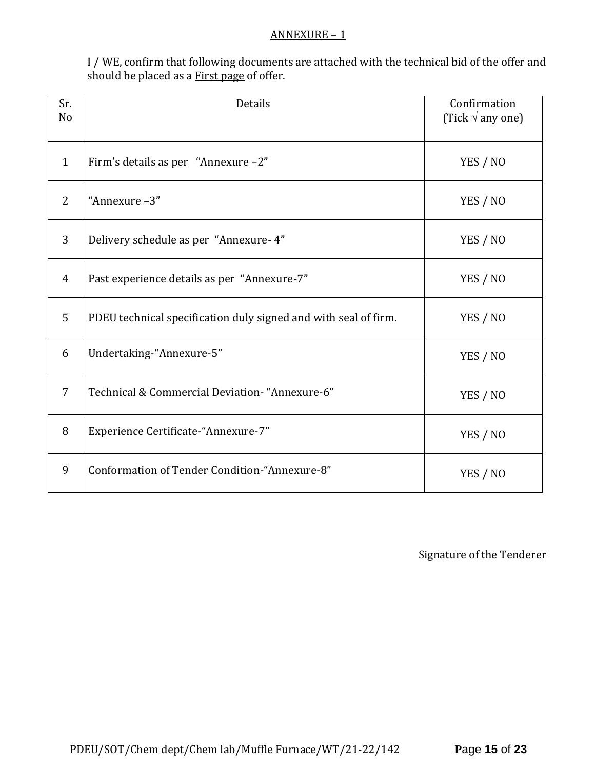#### ANNEXURE – 1

I / WE, confirm that following documents are attached with the technical bid of the offer and should be placed as a **First page** of offer.

| Sr.<br>N <sub>o</sub> | Details                                                         | Confirmation<br>(Tick $\sqrt{ }$ any one) |
|-----------------------|-----------------------------------------------------------------|-------------------------------------------|
| $\mathbf{1}$          | Firm's details as per "Annexure -2"                             | YES / NO                                  |
| 2                     | "Annexure-3"                                                    | YES / NO                                  |
| 3                     | Delivery schedule as per "Annexure- 4"                          | YES / NO                                  |
| $\overline{4}$        | Past experience details as per "Annexure-7"                     | YES / NO                                  |
| 5                     | PDEU technical specification duly signed and with seal of firm. | YES / NO                                  |
| 6                     | Undertaking-"Annexure-5"                                        | YES / NO                                  |
| $\overline{7}$        | Technical & Commercial Deviation- "Annexure-6"                  | YES / NO                                  |
| 8                     | Experience Certificate-"Annexure-7"                             | YES / NO                                  |
| 9                     | Conformation of Tender Condition-"Annexure-8"                   | YES / NO                                  |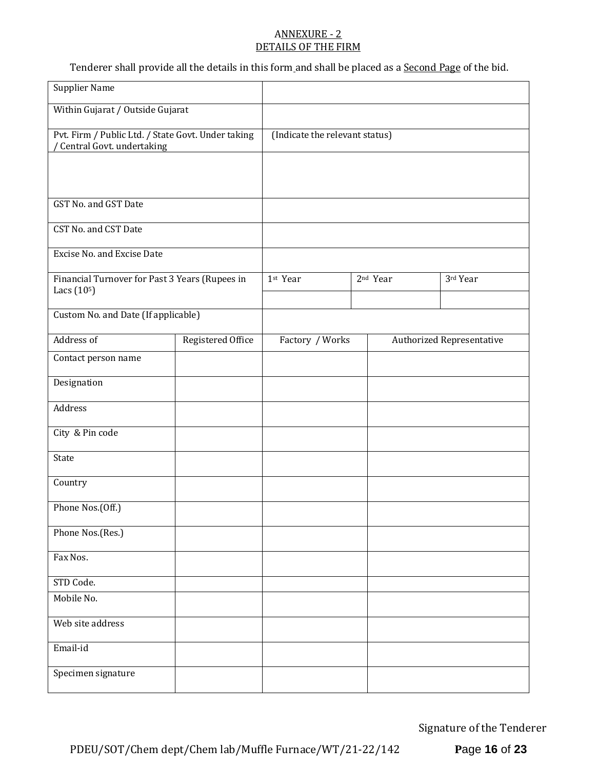#### ANNEXURE - 2 DETAILS OF THE FIRM

Tenderer shall provide all the details in this form and shall be placed as a Second Page of the bid.

| <b>Supplier Name</b>                                                            |                   |                                |  |                      |                                  |
|---------------------------------------------------------------------------------|-------------------|--------------------------------|--|----------------------|----------------------------------|
| Within Gujarat / Outside Gujarat                                                |                   |                                |  |                      |                                  |
| Pvt. Firm / Public Ltd. / State Govt. Under taking<br>Central Govt. undertaking |                   | (Indicate the relevant status) |  |                      |                                  |
|                                                                                 |                   |                                |  |                      |                                  |
|                                                                                 |                   |                                |  |                      |                                  |
| GST No. and GST Date                                                            |                   |                                |  |                      |                                  |
| CST No. and CST Date                                                            |                   |                                |  |                      |                                  |
| Excise No. and Excise Date                                                      |                   |                                |  |                      |                                  |
| Financial Turnover for Past 3 Years (Rupees in<br>Lacs $(105)$                  |                   | 1st Year                       |  | 2 <sup>nd</sup> Year | 3rd Year                         |
|                                                                                 |                   |                                |  |                      |                                  |
| Custom No. and Date (If applicable)                                             |                   |                                |  |                      |                                  |
| Address of                                                                      | Registered Office | Factory / Works                |  |                      | <b>Authorized Representative</b> |
| Contact person name                                                             |                   |                                |  |                      |                                  |
| Designation                                                                     |                   |                                |  |                      |                                  |
| Address                                                                         |                   |                                |  |                      |                                  |
| City & Pin code                                                                 |                   |                                |  |                      |                                  |
| State                                                                           |                   |                                |  |                      |                                  |
| Country                                                                         |                   |                                |  |                      |                                  |
| Phone Nos.(Off.)                                                                |                   |                                |  |                      |                                  |
| Phone Nos.(Res.)                                                                |                   |                                |  |                      |                                  |
| Fax Nos.                                                                        |                   |                                |  |                      |                                  |
| STD Code.                                                                       |                   |                                |  |                      |                                  |
| Mobile No.                                                                      |                   |                                |  |                      |                                  |
| Web site address                                                                |                   |                                |  |                      |                                  |
| Email-id                                                                        |                   |                                |  |                      |                                  |
| Specimen signature                                                              |                   |                                |  |                      |                                  |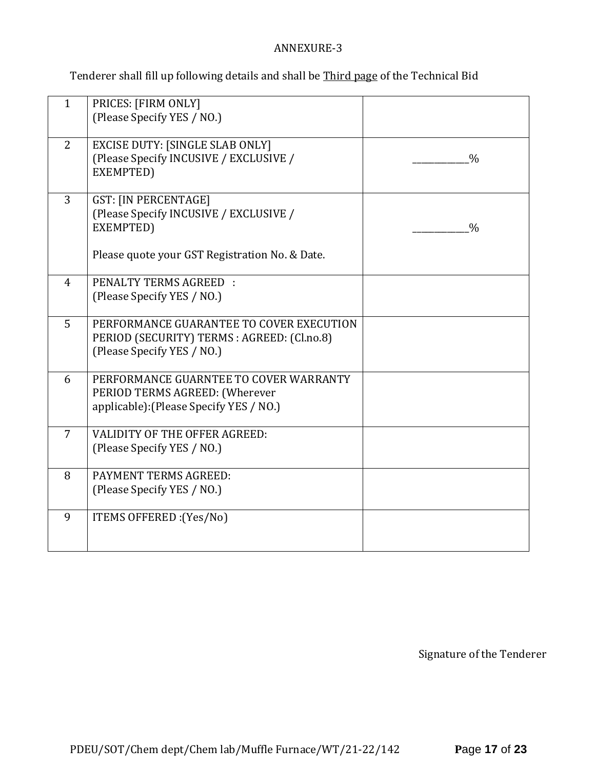# ANNEXURE-3

Tenderer shall fill up following details and shall be Third page of the Technical Bid

| $\mathbf{1}$   | PRICES: [FIRM ONLY]<br>(Please Specify YES / NO.)                                                                                    |               |
|----------------|--------------------------------------------------------------------------------------------------------------------------------------|---------------|
| 2              | <b>EXCISE DUTY: [SINGLE SLAB ONLY]</b><br>(Please Specify INCUSIVE / EXCLUSIVE /<br>EXEMPTED)                                        | $\frac{0}{0}$ |
| 3              | <b>GST: [IN PERCENTAGE]</b><br>(Please Specify INCUSIVE / EXCLUSIVE /<br>EXEMPTED)<br>Please quote your GST Registration No. & Date. | $\frac{0}{0}$ |
| $\overline{4}$ | PENALTY TERMS AGREED :<br>(Please Specify YES / NO.)                                                                                 |               |
| 5              | PERFORMANCE GUARANTEE TO COVER EXECUTION<br>PERIOD (SECURITY) TERMS : AGREED: (Cl.no.8)<br>(Please Specify YES / NO.)                |               |
| 6              | PERFORMANCE GUARNTEE TO COVER WARRANTY<br>PERIOD TERMS AGREED: (Wherever<br>applicable): (Please Specify YES / NO.)                  |               |
| $\overline{7}$ | <b>VALIDITY OF THE OFFER AGREED:</b><br>(Please Specify YES / NO.)                                                                   |               |
| 8              | PAYMENT TERMS AGREED:<br>(Please Specify YES / NO.)                                                                                  |               |
| 9              | ITEMS OFFERED : (Yes/No)                                                                                                             |               |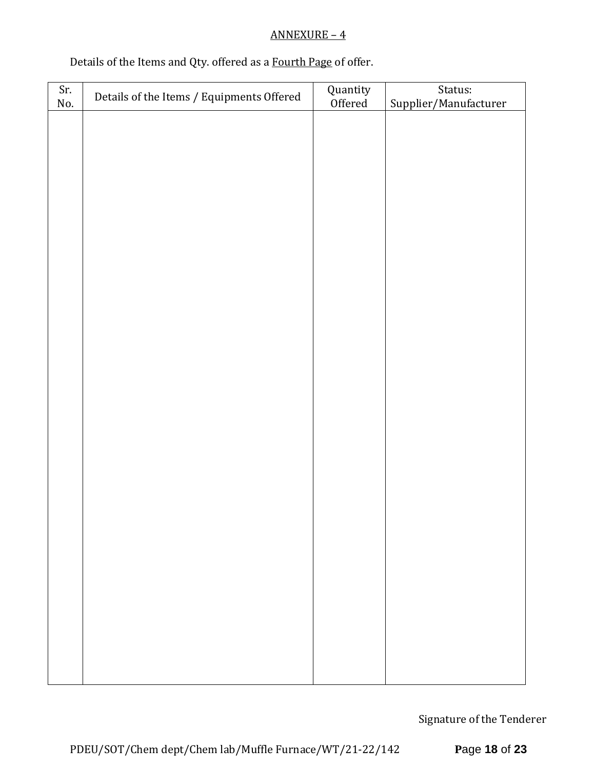# ANNEXURE – 4

# Details of the Items and Qty. offered as a Fourth Page of offer.

| Sr. | Details of the Items / Equipments Offered | Quantity<br>Offered | Status:               |
|-----|-------------------------------------------|---------------------|-----------------------|
| No. |                                           |                     | Supplier/Manufacturer |
|     |                                           |                     |                       |
|     |                                           |                     |                       |
|     |                                           |                     |                       |
|     |                                           |                     |                       |
|     |                                           |                     |                       |
|     |                                           |                     |                       |
|     |                                           |                     |                       |
|     |                                           |                     |                       |
|     |                                           |                     |                       |
|     |                                           |                     |                       |
|     |                                           |                     |                       |
|     |                                           |                     |                       |
|     |                                           |                     |                       |
|     |                                           |                     |                       |
|     |                                           |                     |                       |
|     |                                           |                     |                       |
|     |                                           |                     |                       |
|     |                                           |                     |                       |
|     |                                           |                     |                       |
|     |                                           |                     |                       |
|     |                                           |                     |                       |
|     |                                           |                     |                       |
|     |                                           |                     |                       |
|     |                                           |                     |                       |
|     |                                           |                     |                       |
|     |                                           |                     |                       |
|     |                                           |                     |                       |
|     |                                           |                     |                       |
|     |                                           |                     |                       |
|     |                                           |                     |                       |
|     |                                           |                     |                       |
|     |                                           |                     |                       |
|     |                                           |                     |                       |
|     |                                           |                     |                       |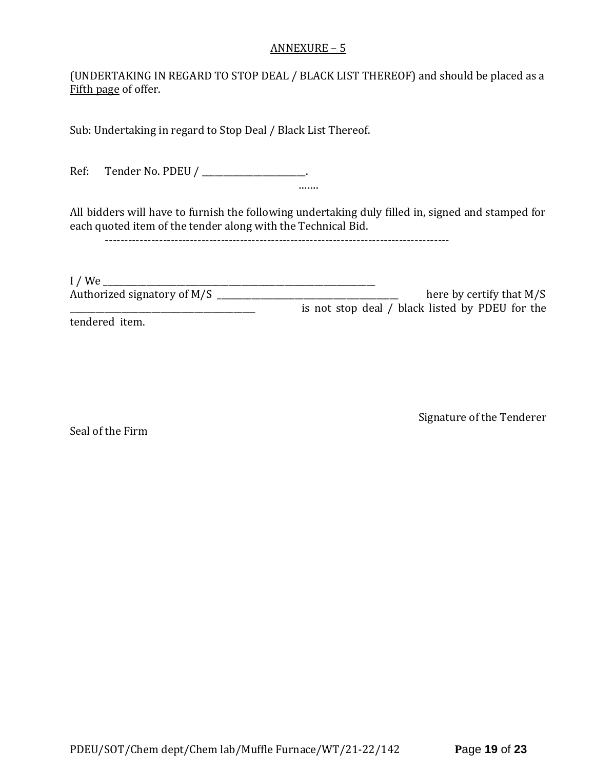#### ANNEXURE – 5

(UNDERTAKING IN REGARD TO STOP DEAL / BLACK LIST THEREOF) and should be placed as a Fifth page of offer.

Sub: Undertaking in regard to Stop Deal / Black List Thereof.

Ref: Tender No. PDEU / \_\_\_\_\_\_\_\_\_\_\_\_\_\_\_\_\_\_\_\_.

All bidders will have to furnish the following undertaking duly filled in, signed and stamped for each quoted item of the tender along with the Technical Bid.

…….

-----------------------------------------------------------------------------------------

| I/We                        |                                                 |
|-----------------------------|-------------------------------------------------|
| Authorized signatory of M/S | here by certify that $M/S$                      |
|                             | is not stop deal / black listed by PDEU for the |
|                             |                                                 |

tendered item.

Seal of the Firm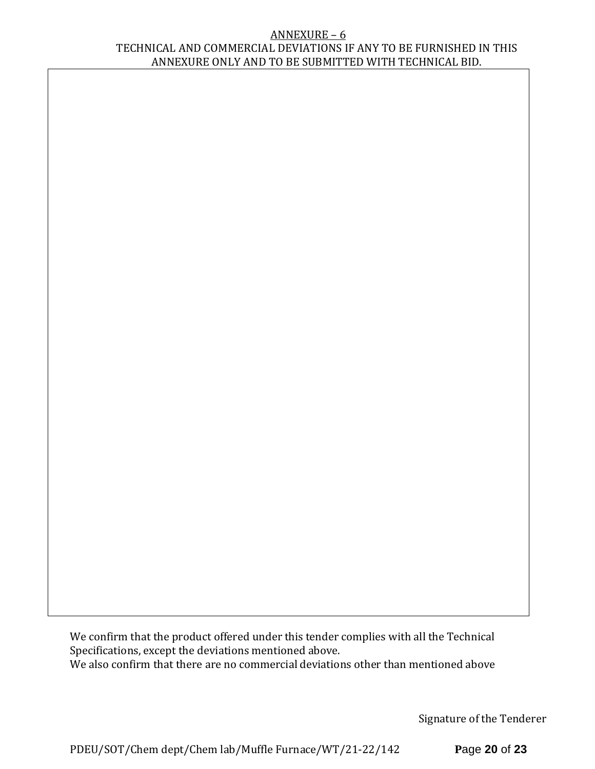#### ANNEXURE – 6 TECHNICAL AND COMMERCIAL DEVIATIONS IF ANY TO BE FURNISHED IN THIS ANNEXURE ONLY AND TO BE SUBMITTED WITH TECHNICAL BID.

We confirm that the product offered under this tender complies with all the Technical Specifications, except the deviations mentioned above. We also confirm that there are no commercial deviations other than mentioned above

Signature of the Tenderer

PDEU/SOT/Chem dept/Chem lab/Muffle Furnace/WT/21-22/142 **P**age **20** of **23**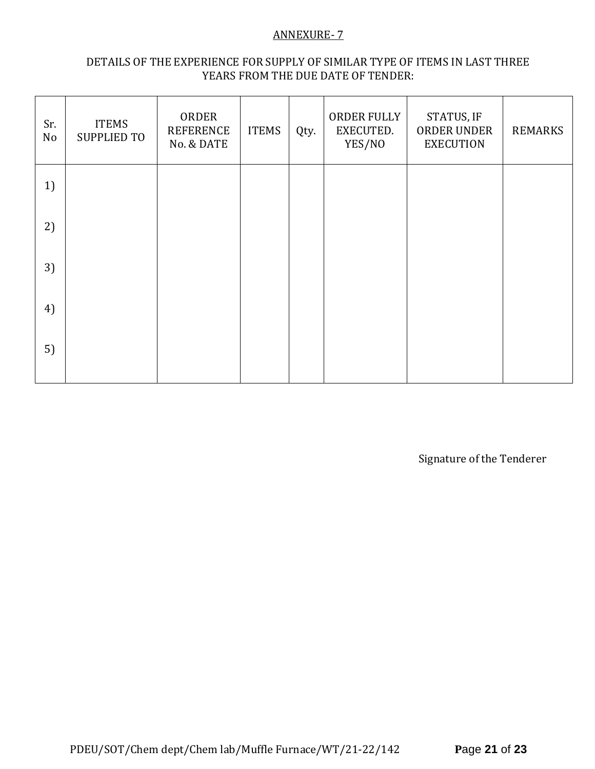#### ANNEXURE- 7

### DETAILS OF THE EXPERIENCE FOR SUPPLY OF SIMILAR TYPE OF ITEMS IN LAST THREE YEARS FROM THE DUE DATE OF TENDER:

| Sr.<br>No | <b>ITEMS</b><br><b>SUPPLIED TO</b> | ORDER<br><b>REFERENCE</b><br>No. & DATE | <b>ITEMS</b> | Qty. | ORDER FULLY<br>EXECUTED.<br>YES/NO | STATUS, IF<br>ORDER UNDER<br><b>EXECUTION</b> | <b>REMARKS</b> |
|-----------|------------------------------------|-----------------------------------------|--------------|------|------------------------------------|-----------------------------------------------|----------------|
| 1)        |                                    |                                         |              |      |                                    |                                               |                |
| 2)        |                                    |                                         |              |      |                                    |                                               |                |
| 3)        |                                    |                                         |              |      |                                    |                                               |                |
| 4)        |                                    |                                         |              |      |                                    |                                               |                |
| 5)        |                                    |                                         |              |      |                                    |                                               |                |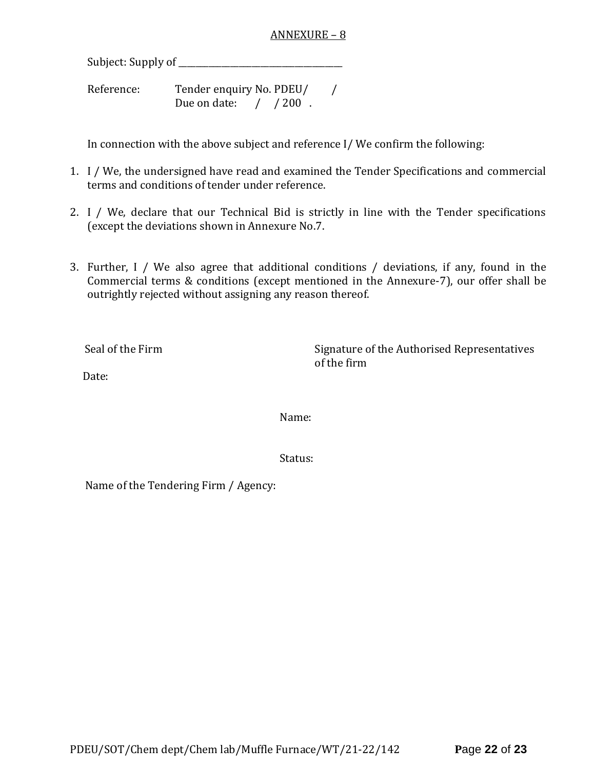#### ANNEXURE – 8

Subject: Supply of \_\_\_\_\_\_\_\_\_\_\_\_\_\_\_\_\_\_\_\_\_\_\_\_\_\_\_\_\_\_\_\_\_\_\_\_\_\_

Reference: Tender enquiry No. PDEU/ / Due on date: / / 200.

In connection with the above subject and reference I/ We confirm the following:

- 1. I / We, the undersigned have read and examined the Tender Specifications and commercial terms and conditions of tender under reference.
- 2. I / We, declare that our Technical Bid is strictly in line with the Tender specifications (except the deviations shown in Annexure No.7.
- 3. Further, I / We also agree that additional conditions / deviations, if any, found in the Commercial terms & conditions (except mentioned in the Annexure-7), our offer shall be outrightly rejected without assigning any reason thereof.

Seal of the Firm Signature of the Authorised Representatives of the firm

Date:

Name:

Status:

Name of the Tendering Firm / Agency: